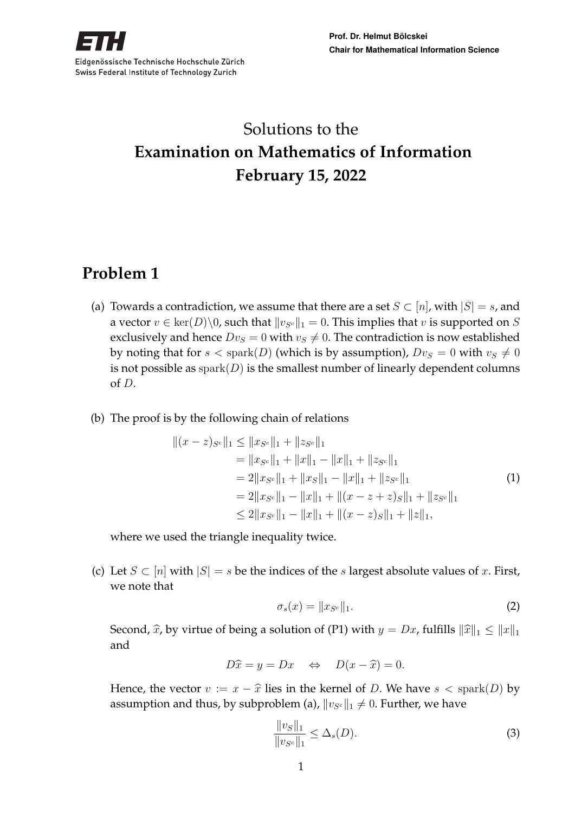

# Solutions to the **Examination on Mathematics of Information February 15, 2022**

## **Problem 1**

- (a) Towards a contradiction, we assume that there are a set  $S \subset [n]$ , with  $|S| = s$ , and a vector  $v \in \text{ker}(D) \setminus 0$ , such that  $||v_{S^c}||_1 = 0$ . This implies that v is supported on S exclusively and hence  $Dv_S = 0$  with  $v_S \neq 0$ . The contradiction is now established by noting that for  $s <$  spark(D) (which is by assumption),  $Dv_S = 0$  with  $v_S \neq 0$ is not possible as  $\text{spark}(D)$  is the smallest number of linearly dependent columns of D.
- (b) The proof is by the following chain of relations

$$
||(x-z)sc||1 \le ||x_{Sc}||1 + ||z_{Sc}||1
$$
  
\n=  $||x_{Sc}||1 + ||x||1 - ||x||1 + ||z_{Sc}||1$   
\n=  $2||x_{Sc}||1 + ||x_{S}||1 - ||x||1 + ||z_{Sc}||1$   
\n=  $2||x_{Sc}||1 - ||x||1 + ||(x - z + z)s||1 + ||z_{Sc}||1$   
\n $\le 2||x_{Sc}||1 - ||x||1 + ||(x - z)s||1 + ||z||1,$  (1)  
\n(1)

where we used the triangle inequality twice.

(c) Let  $S \subset [n]$  with  $|S| = s$  be the indices of the s largest absolute values of x. First, we note that

$$
\sigma_s(x) = \|x_{S^c}\|_1. \tag{2}
$$

Second,  $\hat{x}$ , by virtue of being a solution of (P1) with  $y = Dx$ , fulfills  $\|\hat{x}\|_1 \leq \|x\|_1$ and

$$
D\hat{x} = y = Dx \quad \Leftrightarrow \quad D(x - \hat{x}) = 0.
$$

Hence, the vector  $v := x - \hat{x}$  lies in the kernel of D. We have  $s <$  spark(D) by assumption and thus, by subproblem (a),  $||v_{Sc}||_1 \neq 0$ . Further, we have

$$
\frac{\|v_S\|_1}{\|v_{S^c}\|_1} \le \Delta_s(D). \tag{3}
$$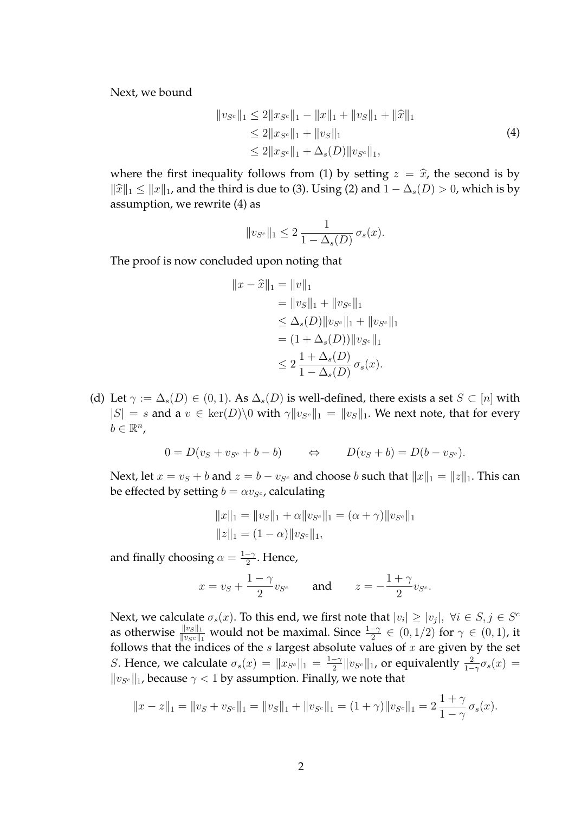Next, we bound

$$
||v_{S^c}||_1 \le 2||x_{S^c}||_1 - ||x||_1 + ||v_S||_1 + ||\widehat{x}||_1
$$
  
\n
$$
\le 2||x_{S^c}||_1 + ||v_S||_1
$$
  
\n
$$
\le 2||x_{S^c}||_1 + \Delta_s(D)||v_{S^c}||_1,
$$
\n(4)

where the first inequality follows from (1) by setting  $z = \hat{x}$ , the second is by  $||\hat{x}||_1 \leq ||x||_1$ , and the third is due to (3). Using (2) and  $1 - \Delta_s(D) > 0$ , which is by assumption, we rewrite (4) as

$$
||v_{S^c}||_1 \leq 2 \frac{1}{1 - \Delta_s(D)} \sigma_s(x).
$$

The proof is now concluded upon noting that

$$
||x - \hat{x}||_1 = ||v||_1
$$
  
=  $||v_S||_1 + ||v_{S^c}||_1$   
 $\leq \Delta_s(D) ||v_{S^c}||_1 + ||v_{S^c}||_1$   
=  $(1 + \Delta_s(D)) ||v_{S^c}||_1$   
 $\leq 2 \frac{1 + \Delta_s(D)}{1 - \Delta_s(D)} \sigma_s(x).$ 

(d) Let  $\gamma := \Delta_s(D) \in (0,1)$ . As  $\Delta_s(D)$  is well-defined, there exists a set  $S \subset [n]$  with  $|S| = s$  and a  $v \in \text{ker}(D) \setminus 0$  with  $\gamma \|v_{S^c}\|_1 = \|v_S\|_1$ . We next note, that for every  $b \in \mathbb{R}^n$ ,

$$
0 = D(vS + vSc + b - b) \qquad \Leftrightarrow \qquad D(vS + b) = D(b - vSc).
$$

Next, let  $x = v_S + b$  and  $z = b - v_{S^c}$  and choose b such that  $||x||_1 = ||z||_1$ . This can be effected by setting  $b = \alpha v_{S^c}$ , calculating

$$
||x||_1 = ||v_S||_1 + \alpha ||v_{S^c}||_1 = (\alpha + \gamma) ||v_{S^c}||_1
$$
  

$$
||z||_1 = (1 - \alpha) ||v_{S^c}||_1,
$$

and finally choosing  $\alpha = \frac{1-\gamma}{2}$  $\frac{-\gamma}{2}$ . Hence,

$$
x = v_S + \frac{1-\gamma}{2}v_{S^c}
$$
 and 
$$
z = -\frac{1+\gamma}{2}v_{S^c}.
$$

Next, we calculate  $\sigma_s(x)$ . To this end, we first note that  $|v_i| \ge |v_j|$ ,  $\forall i \in S, j \in S^d$ as otherwise  $\frac{||v_S||_1}{||v_{Sc}||_1}$  would not be maximal. Since  $\frac{1-\gamma}{2} \in (0,1/2)$  for  $\gamma \in (0,1)$ , it follows that the indices of the  $s$  largest absolute values of  $x$  are given by the set *S*. Hence, we calculate  $\sigma_s(x) = ||x_{S^c}||_1 = \frac{1-\gamma}{2}$  $\frac{-\gamma}{2} \| v_{S^c} \|_1$ , or equivalently  $\frac{2}{1-\gamma} \sigma_s(x) =$  $\|v_{S^c}\|_1$  because  $\gamma<1$  by assumption. Finally, we note that

$$
||x - z||_1 = ||v_S + v_{S^c}||_1 = ||v_S||_1 + ||v_{S^c}||_1 = (1 + \gamma)||v_{S^c}||_1 = 2\frac{1 + \gamma}{1 - \gamma}\sigma_s(x).
$$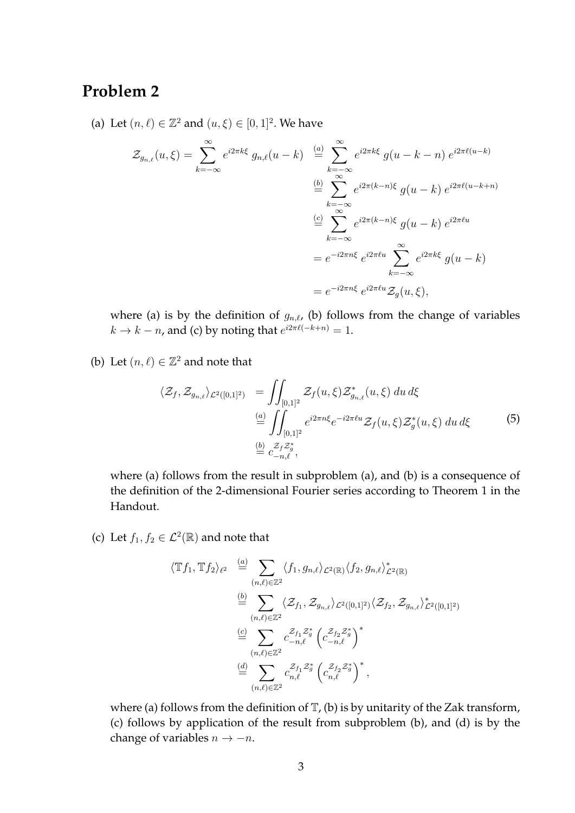### **Problem 2**

(a) Let  $(n, \ell) \in \mathbb{Z}^2$  and  $(u, \xi) \in [0, 1]^2$ . We have

$$
\mathcal{Z}_{g_{n,\ell}}(u,\xi) = \sum_{k=-\infty}^{\infty} e^{i2\pi k\xi} g_{n,\ell}(u-k) \stackrel{(a)}{=} \sum_{k=-\infty}^{\infty} e^{i2\pi k\xi} g(u-k-n) e^{i2\pi \ell(u-k)}
$$

$$
\stackrel{(b)}{=} \sum_{k=-\infty}^{\infty} e^{i2\pi (k-n)\xi} g(u-k) e^{i2\pi \ell(u-k+n)}
$$

$$
\stackrel{(c)}{=} \sum_{k=-\infty}^{\infty} e^{i2\pi (k-n)\xi} g(u-k) e^{i2\pi \ell u}
$$

$$
= e^{-i2\pi n\xi} e^{i2\pi \ell u} \sum_{k=-\infty}^{\infty} e^{i2\pi \ell \ell u} \mathcal{Z}_g(u,\xi),
$$

where (a) is by the definition of  $g_{n,\ell}$ , (b) follows from the change of variables  $k \to k - n$ , and (c) by noting that  $e^{i2\pi \ell(-k+n)} = 1$ .

(b) Let  $(n, \ell) \in \mathbb{Z}^2$  and note that

$$
\langle \mathcal{Z}_f, \mathcal{Z}_{g_{n,\ell}} \rangle_{\mathcal{L}^2([0,1]^2)} = \iint_{[0,1]^2} \mathcal{Z}_f(u,\xi) \mathcal{Z}_{g_{n,\ell}}^*(u,\xi) du d\xi
$$
  
\n
$$
\stackrel{(a)}{=} \iint_{[0,1]^2} e^{i2\pi n\xi} e^{-i2\pi \ell u} \mathcal{Z}_f(u,\xi) \mathcal{Z}_g^*(u,\xi) du d\xi
$$
  
\n
$$
\stackrel{(b)}{=} \mathcal{Z}_f \mathcal{Z}_g^* \n\stackrel{(c)}{=} c_{-n,\ell}^{\mathcal{Z}_f \mathcal{Z}_g^*},
$$
\n(5)

where (a) follows from the result in subproblem (a), and (b) is a consequence of the definition of the 2-dimensional Fourier series according to Theorem 1 in the Handout.

(c) Let  $f_1, f_2 \in \mathcal{L}^2(\mathbb{R})$  and note that

$$
\langle \mathbb{T}f_1, \mathbb{T}f_2 \rangle_{\ell^2} \stackrel{(a)}{=} \sum_{(n,\ell) \in \mathbb{Z}^2} \langle f_1, g_{n,\ell} \rangle_{\mathcal{L}^2(\mathbb{R})} \langle f_2, g_{n,\ell} \rangle_{\mathcal{L}^2(\mathbb{R})}^*
$$
  
\n
$$
\stackrel{(b)}{=} \sum_{(n,\ell) \in \mathbb{Z}^2} \langle \mathcal{Z}_{f_1}, \mathcal{Z}_{g_{n,\ell}} \rangle_{\mathcal{L}^2([0,1]^2)} \langle \mathcal{Z}_{f_2}, \mathcal{Z}_{g_{n,\ell}} \rangle_{\mathcal{L}^2([0,1]^2)}^*
$$
  
\n
$$
\stackrel{(c)}{=} \sum_{(n,\ell) \in \mathbb{Z}^2} c_{-n,\ell}^{\mathcal{Z}_{f_1} \mathcal{Z}_{g}^*} \left( c_{-n,\ell}^{\mathcal{Z}_{f_2} \mathcal{Z}_{g}^*} \right)^*
$$
  
\n
$$
\stackrel{(d)}{=} \sum_{(n,\ell) \in \mathbb{Z}^2} c_{n,\ell}^{\mathcal{Z}_{f_1} \mathcal{Z}_{g}^*} \left( c_{n,\ell}^{\mathcal{Z}_{f_2} \mathcal{Z}_{g}^*} \right)^*,
$$

where (a) follows from the definition of  $\mathbb{T}$ , (b) is by unitarity of the Zak transform, (c) follows by application of the result from subproblem (b), and (d) is by the change of variables  $n \rightarrow -n$ .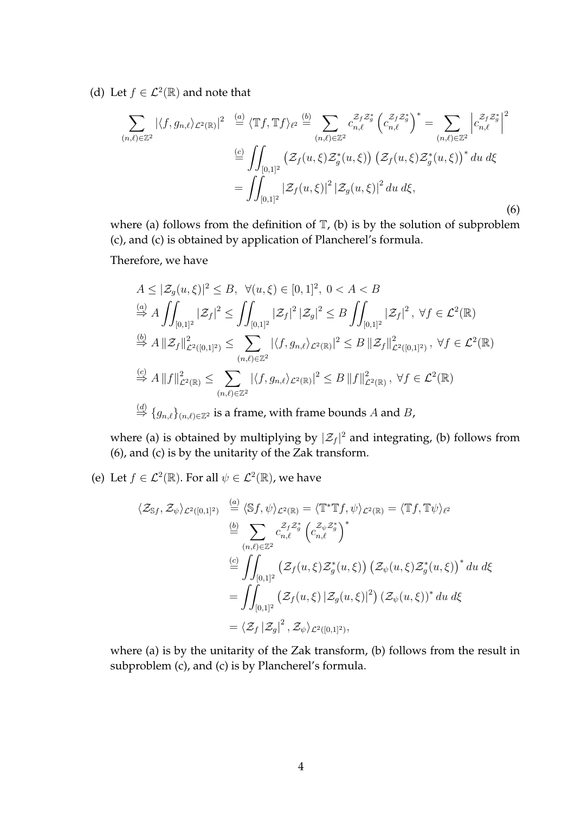(d) Let  $f \in \mathcal{L}^2(\mathbb{R})$  and note that

$$
\sum_{(n,\ell)\in\mathbb{Z}^2} |\langle f, g_{n,\ell}\rangle_{\mathcal{L}^2(\mathbb{R})}|^2 \stackrel{(a)}{=} \langle \mathbb{T}f, \mathbb{T}f \rangle_{\ell^2} \stackrel{(b)}{=} \sum_{(n,\ell)\in\mathbb{Z}^2} c_{n,\ell}^{\mathcal{Z}_f \mathcal{Z}_g^*} \left(c_{n,\ell}^{\mathcal{Z}_f \mathcal{Z}_g^*}\right)^* = \sum_{(n,\ell)\in\mathbb{Z}^2} \left| c_{n,\ell}^{\mathcal{Z}_f \mathcal{Z}_g^*} \right|^2
$$

$$
\stackrel{(c)}{=} \iint_{[0,1]^2} \left( \mathcal{Z}_f(u,\xi) \mathcal{Z}_g^*(u,\xi) \right) \left( \mathcal{Z}_f(u,\xi) \mathcal{Z}_g^*(u,\xi) \right)^* du \, d\xi
$$

$$
= \iint_{[0,1]^2} |\mathcal{Z}_f(u,\xi)|^2 |\mathcal{Z}_g(u,\xi)|^2 du \, d\xi,
$$
 (6)

where (a) follows from the definition of  $\mathbb{T}$ , (b) is by the solution of subproblem (c), and (c) is obtained by application of Plancherel's formula.

Therefore, we have

$$
A \leq |\mathcal{Z}_g(u,\xi)|^2 \leq B, \ \forall (u,\xi) \in [0,1]^2, \ 0 < A < B
$$
  
\n
$$
\stackrel{(a)}{\Rightarrow} A \iint_{[0,1]^2} |\mathcal{Z}_f|^2 \leq \iint_{[0,1]^2} |\mathcal{Z}_f|^2 |\mathcal{Z}_g|^2 \leq B \iint_{[0,1]^2} |\mathcal{Z}_f|^2, \ \forall f \in \mathcal{L}^2(\mathbb{R})
$$
  
\n
$$
\stackrel{(b)}{\Rightarrow} A ||\mathcal{Z}_f||^2_{\mathcal{L}^2([0,1]^2)} \leq \sum_{(n,\ell) \in \mathbb{Z}^2} |\langle f, g_{n,\ell} \rangle_{\mathcal{L}^2(\mathbb{R})}|^2 \leq B ||\mathcal{Z}_f||^2_{\mathcal{L}^2([0,1]^2)}, \ \forall f \in \mathcal{L}^2(\mathbb{R})
$$
  
\n
$$
\stackrel{(c)}{\Rightarrow} A ||f||^2_{\mathcal{L}^2(\mathbb{R})} \leq \sum_{(n,\ell) \in \mathbb{Z}^2} |\langle f, g_{n,\ell} \rangle_{\mathcal{L}^2(\mathbb{R})}|^2 \leq B ||f||^2_{\mathcal{L}^2(\mathbb{R})}, \ \forall f \in \mathcal{L}^2(\mathbb{R})
$$
  
\n
$$
\stackrel{(d)}{\Rightarrow} \{g_{n,\ell}\}_{(n,\ell) \in \mathbb{Z}^2} \text{ is a frame, with frame bounds } A \text{ and } B,
$$

where (a) is obtained by multiplying by  $|\mathcal{Z}_f|^2$  and integrating, (b) follows from (6), and (c) is by the unitarity of the Zak transform.

(e) Let  $f \in \mathcal{L}^2(\mathbb{R})$ . For all  $\psi \in \mathcal{L}^2(\mathbb{R})$ , we have

$$
\langle \mathcal{Z}_{\mathbb{S}f}, \mathcal{Z}_{\psi} \rangle_{\mathcal{L}^{2}([0,1]^{2})} \stackrel{(a)}{=} \langle \mathbb{S}f, \psi \rangle_{\mathcal{L}^{2}(\mathbb{R})} = \langle \mathbb{T}^{*} \mathbb{T}f, \psi \rangle_{\mathcal{L}^{2}(\mathbb{R})} = \langle \mathbb{T}f, \mathbb{T}\psi \rangle_{\ell^{2}}
$$
  
\n
$$
\stackrel{(b)}{=} \sum_{(n,\ell) \in \mathbb{Z}^{2}} c_{n,\ell}^{\mathcal{Z}_{f}\mathcal{Z}_{g}^{*}} \left( c_{n,\ell}^{\mathcal{Z}_{\psi}\mathcal{Z}_{g}^{*}} \right)^{*}
$$
  
\n
$$
\stackrel{(c)}{=} \iint_{[0,1]^{2}} \left( \mathcal{Z}_{f}(u,\xi) \mathcal{Z}_{g}^{*}(u,\xi) \right) \left( \mathcal{Z}_{\psi}(u,\xi) \mathcal{Z}_{g}^{*}(u,\xi) \right)^{*} du d\xi
$$
  
\n
$$
= \iint_{[0,1]^{2}} \left( \mathcal{Z}_{f}(u,\xi) \left| \mathcal{Z}_{g}(u,\xi) \right|^{2} \right) \left( \mathcal{Z}_{\psi}(u,\xi) \right)^{*} du d\xi
$$
  
\n
$$
= \langle \mathcal{Z}_{f} | \mathcal{Z}_{g} |^{2}, \mathcal{Z}_{\psi} \rangle_{\mathcal{L}^{2}([0,1]^{2})},
$$

where (a) is by the unitarity of the Zak transform, (b) follows from the result in subproblem (c), and (c) is by Plancherel's formula.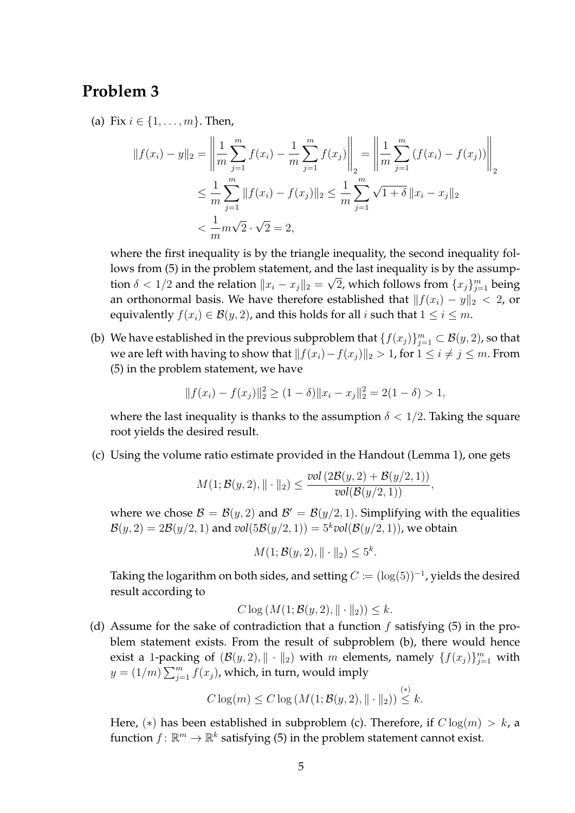#### **Problem 3**

(a) Fix  $i \in \{1, ..., m\}$ . Then,

$$
||f(x_i) - y||_2 = \left\| \frac{1}{m} \sum_{j=1}^m f(x_i) - \frac{1}{m} \sum_{j=1}^m f(x_j) \right\|_2 = \left\| \frac{1}{m} \sum_{j=1}^m (f(x_i) - f(x_j)) \right\|_2
$$
  

$$
\leq \frac{1}{m} \sum_{j=1}^m ||f(x_i) - f(x_j)||_2 \leq \frac{1}{m} \sum_{j=1}^m \sqrt{1 + \delta} ||x_i - x_j||_2
$$
  

$$
< \frac{1}{m} m \sqrt{2} \cdot \sqrt{2} = 2,
$$

where the first inequality is by the triangle inequality, the second inequality follows from  $(5)$  in the problem statement, and the last inequality is by the assumption  $\delta < 1/2$  and the relation  $\|x_i - x_j\|_2 = \sqrt{2}$ , which follows from  $\{x_j\}_{j=1}^m$  being an orthonormal basis. We have therefore established that  $||f(x_i) - y||_2 < 2$ , or equivalently  $f(x_i) \in \mathcal{B}(y, 2)$ , and this holds for all i such that  $1 \leq i \leq m$ .

(b) We have established in the previous subproblem that  $\{f(x_j)\}_{j=1}^m\subset\mathcal{B}(y,2)$ , so that we are left with having to show that  $||f(x_i)-f(x_j)||_2 > 1$ , for  $1 \leq i \neq j \leq m$ . From (5) in the problem statement, we have

$$
|| f(x_i) - f(x_j)||_2^2 \ge (1 - \delta) ||x_i - x_j||_2^2 = 2(1 - \delta) > 1,
$$

where the last inequality is thanks to the assumption  $\delta < 1/2$ . Taking the square root yields the desired result.

(c) Using the volume ratio estimate provided in the Handout (Lemma 1), one gets

$$
M(1; \mathcal{B}(y, 2), \| \cdot \|_2) \leq \frac{\text{vol}\left(2\mathcal{B}(y, 2) + \mathcal{B}(y/2, 1)\right)}{\text{vol}(\mathcal{B}(y/2, 1))},
$$

where we chose  $\mathcal{B} = \mathcal{B}(y, 2)$  and  $\mathcal{B}' = \mathcal{B}(y/2, 1)$ . Simplifying with the equalities  $\mathcal{B}(y, 2) = 2\mathcal{B}(y/2, 1)$  and  $vol(5\mathcal{B}(y/2, 1)) = 5<sup>k</sup>vol(\mathcal{B}(y/2, 1))$ , we obtain

$$
M(1; \mathcal{B}(y, 2), \|\cdot\|_2) \le 5^k.
$$

Taking the logarithm on both sides, and setting  $C \coloneqq (\log(5))^{-1}$ , yields the desired result according to

$$
C \log(M(1; \mathcal{B}(y, 2), || \cdot ||_2)) \leq k.
$$

(d) Assume for the sake of contradiction that a function f satisfying (5) in the problem statement exists. From the result of subproblem (b), there would hence exist a 1-packing of  $(\mathcal{B}(y, 2), \| \cdot \|_2)$  with m elements, namely  $\{f(x_j)\}_{j=1}^m$  with  $y = (1/m) \sum_{j=1}^{m} f(x_j)$ , which, in turn, would imply

$$
C \log(m) \le C \log(M(1; \mathcal{B}(y, 2), \|\cdot\|_2)) \stackrel{(*)}{\leq} k.
$$

Here, (\*) has been established in subproblem (c). Therefore, if  $C \log(m) > k$ , a function  $f \colon \mathbb{R}^m \to \mathbb{R}^k$  satisfying (5) in the problem statement cannot exist.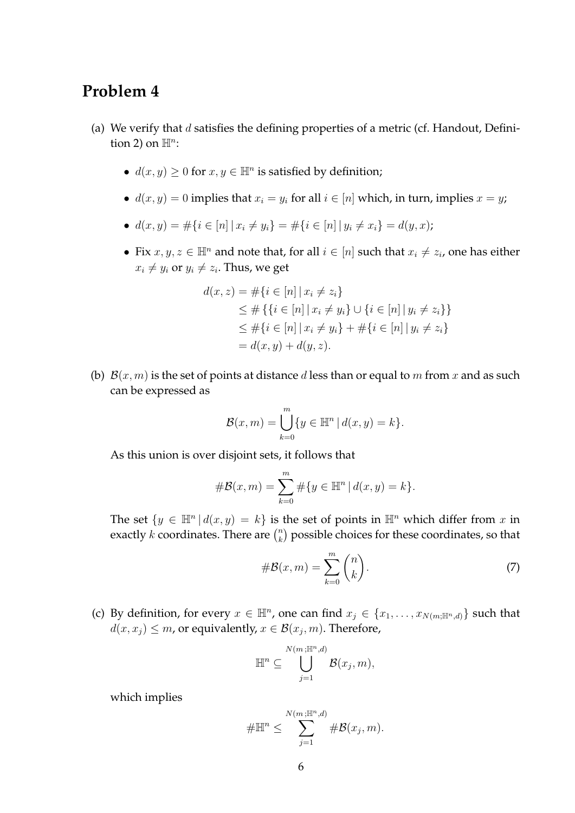#### **Problem 4**

- (a) We verify that  $d$  satisfies the defining properties of a metric (cf. Handout, Definition 2) on  $\mathbb{H}^n$ :
	- $d(x, y) \ge 0$  for  $x, y \in \mathbb{H}^n$  is satisfied by definition;
	- $d(x, y) = 0$  implies that  $x_i = y_i$  for all  $i \in [n]$  which, in turn, implies  $x = y$ ;
	- $d(x, y) = \#\{i \in [n] \mid x_i \neq y_i\} = \#\{i \in [n] \mid y_i \neq x_i\} = d(y, x);$
	- Fix  $x, y, z \in \mathbb{H}^n$  and note that, for all  $i \in [n]$  such that  $x_i \neq z_i$ , one has either  $x_i \neq y_i$  or  $y_i \neq z_i.$  Thus, we get

$$
d(x, z) = #\{i \in [n] | x_i \neq z_i\}
$$
  
\n
$$
\leq #\{\{i \in [n] | x_i \neq y_i\} \cup \{i \in [n] | y_i \neq z_i\}\}
$$
  
\n
$$
\leq #\{i \in [n] | x_i \neq y_i\} + #\{i \in [n] | y_i \neq z_i\}
$$
  
\n
$$
= d(x, y) + d(y, z).
$$

(b)  $\mathcal{B}(x,m)$  is the set of points at distance d less than or equal to m from x and as such can be expressed as

$$
\mathcal{B}(x,m) = \bigcup_{k=0}^{m} \{ y \in \mathbb{H}^n \, | \, d(x,y) = k \}.
$$

As this union is over disjoint sets, it follows that

$$
\#\mathcal{B}(x,m) = \sum_{k=0}^{m} \#\{y \in \mathbb{H}^n \, | \, d(x,y) = k\}.
$$

The set  $\{y \in \mathbb{H}^n | d(x, y) = k\}$  is the set of points in  $\mathbb{H}^n$  which differ from x in exactly k coordinates. There are  $\binom{n}{k}$  $\binom{n}{k}$  possible choices for these coordinates, so that

$$
\#\mathcal{B}(x,m) = \sum_{k=0}^{m} \binom{n}{k}.\tag{7}
$$

(c) By definition, for every  $x \in \mathbb{H}^n$ , one can find  $x_j \in \{x_1, \ldots, x_{N(m; \mathbb{H}^n, d)}\}$  such that  $d(x, x_j) \leq m$ , or equivalently,  $x \in \mathcal{B}(x_j, m)$ . Therefore,

$$
\mathbb{H}^n \subseteq \bigcup_{j=1}^{N(m;\mathbb{H}^n,d)} \mathcal{B}(x_j,m),
$$

which implies

$$
\#\mathbb{H}^n \leq \sum_{j=1}^{N(m;\mathbb{H}^n,d)} \#\mathcal{B}(x_j,m).
$$